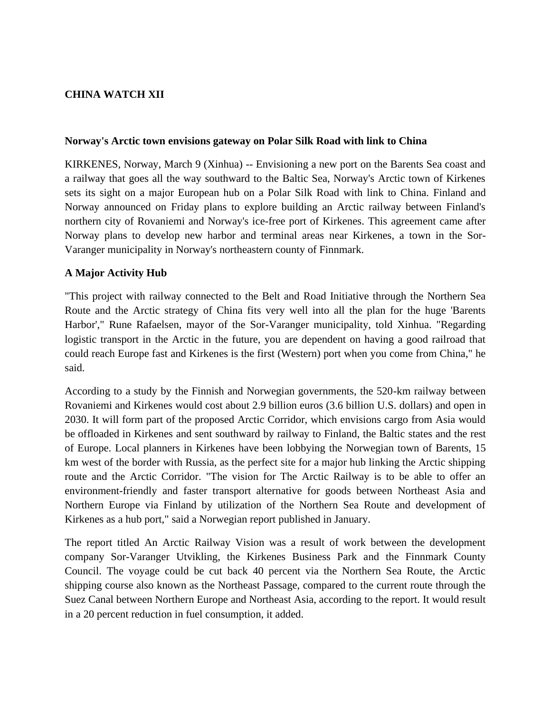# **CHINA WATCH XII**

#### **Norway's Arctic town envisions gateway on Polar Silk Road with link to China**

KIRKENES, Norway, March 9 (Xinhua) -- Envisioning a new port on the Barents Sea coast and a railway that goes all the way southward to the Baltic Sea, Norway's Arctic town of Kirkenes sets its sight on a major European hub on a Polar Silk Road with link to China. Finland and Norway announced on Friday plans to explore building an Arctic railway between Finland's northern city of Rovaniemi and Norway's ice-free port of Kirkenes. This agreement came after Norway plans to develop new harbor and terminal areas near Kirkenes, a town in the Sor-Varanger municipality in Norway's northeastern county of Finnmark.

### **A Major Activity Hub**

"This project with railway connected to the Belt and Road Initiative through the Northern Sea Route and the Arctic strategy of China fits very well into all the plan for the huge 'Barents Harbor'," Rune Rafaelsen, mayor of the Sor-Varanger municipality, told Xinhua. "Regarding logistic transport in the Arctic in the future, you are dependent on having a good railroad that could reach Europe fast and Kirkenes is the first (Western) port when you come from China," he said.

According to a study by the Finnish and Norwegian governments, the 520-km railway between Rovaniemi and Kirkenes would cost about 2.9 billion euros (3.6 billion U.S. dollars) and open in 2030. It will form part of the proposed Arctic Corridor, which envisions cargo from Asia would be offloaded in Kirkenes and sent southward by railway to Finland, the Baltic states and the rest of Europe. Local planners in Kirkenes have been lobbying the Norwegian town of Barents, 15 km west of the border with Russia, as the perfect site for a major hub linking the Arctic shipping route and the Arctic Corridor. "The vision for The Arctic Railway is to be able to offer an environment-friendly and faster transport alternative for goods between Northeast Asia and Northern Europe via Finland by utilization of the Northern Sea Route and development of Kirkenes as a hub port," said a Norwegian report published in January.

The report titled An Arctic Railway Vision was a result of work between the development company Sor-Varanger Utvikling, the Kirkenes Business Park and the Finnmark County Council. The voyage could be cut back 40 percent via the Northern Sea Route, the Arctic shipping course also known as the Northeast Passage, compared to the current route through the Suez Canal between Northern Europe and Northeast Asia, according to the report. It would result in a 20 percent reduction in fuel consumption, it added.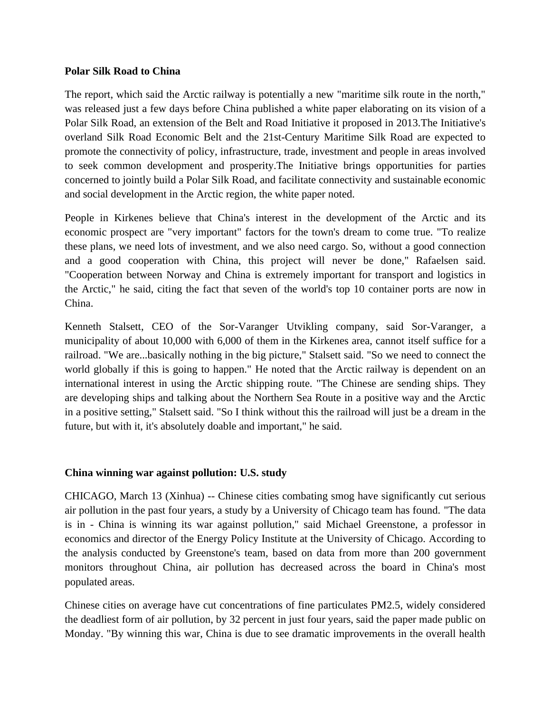### **Polar Silk Road to China**

The report, which said the Arctic railway is potentially a new "maritime silk route in the north," was released just a few days before China published a white paper elaborating on its vision of a Polar Silk Road, an extension of the Belt and Road Initiative it proposed in 2013.The Initiative's overland Silk Road Economic Belt and the 21st-Century Maritime Silk Road are expected to promote the connectivity of policy, infrastructure, trade, investment and people in areas involved to seek common development and prosperity.The Initiative brings opportunities for parties concerned to jointly build a Polar Silk Road, and facilitate connectivity and sustainable economic and social development in the Arctic region, the white paper noted.

People in Kirkenes believe that China's interest in the development of the Arctic and its economic prospect are "very important" factors for the town's dream to come true. "To realize these plans, we need lots of investment, and we also need cargo. So, without a good connection and a good cooperation with China, this project will never be done," Rafaelsen said. "Cooperation between Norway and China is extremely important for transport and logistics in the Arctic," he said, citing the fact that seven of the world's top 10 container ports are now in China.

Kenneth Stalsett, CEO of the Sor-Varanger Utvikling company, said Sor-Varanger, a municipality of about 10,000 with 6,000 of them in the Kirkenes area, cannot itself suffice for a railroad. "We are...basically nothing in the big picture," Stalsett said. "So we need to connect the world globally if this is going to happen." He noted that the Arctic railway is dependent on an international interest in using the Arctic shipping route. "The Chinese are sending ships. They are developing ships and talking about the Northern Sea Route in a positive way and the Arctic in a positive setting," Stalsett said. "So I think without this the railroad will just be a dream in the future, but with it, it's absolutely doable and important," he said.

### **China winning war against pollution: U.S. study**

CHICAGO, March 13 (Xinhua) -- Chinese cities combating smog have significantly cut serious air pollution in the past four years, a study by a University of Chicago team has found. "The data is in - China is winning its war against pollution," said Michael Greenstone, a professor in economics and director of the Energy Policy Institute at the University of Chicago. According to the analysis conducted by Greenstone's team, based on data from more than 200 government monitors throughout China, air pollution has decreased across the board in China's most populated areas.

Chinese cities on average have cut concentrations of fine particulates PM2.5, widely considered the deadliest form of air pollution, by 32 percent in just four years, said the paper made public on Monday. "By winning this war, China is due to see dramatic improvements in the overall health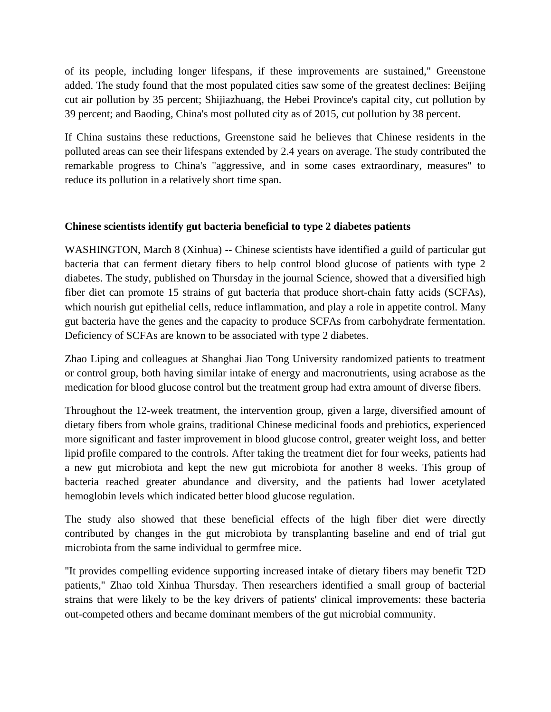of its people, including longer lifespans, if these improvements are sustained," Greenstone added. The study found that the most populated cities saw some of the greatest declines: Beijing cut air pollution by 35 percent; Shijiazhuang, the Hebei Province's capital city, cut pollution by 39 percent; and Baoding, China's most polluted city as of 2015, cut pollution by 38 percent.

If China sustains these reductions, Greenstone said he believes that Chinese residents in the polluted areas can see their lifespans extended by 2.4 years on average. The study contributed the remarkable progress to China's "aggressive, and in some cases extraordinary, measures" to reduce its pollution in a relatively short time span.

## **Chinese scientists identify gut bacteria beneficial to type 2 diabetes patients**

WASHINGTON, March 8 (Xinhua) -- Chinese scientists have identified a guild of particular gut bacteria that can ferment dietary fibers to help control blood glucose of patients with type 2 diabetes. The study, published on Thursday in the journal Science, showed that a diversified high fiber diet can promote 15 strains of gut bacteria that produce short-chain fatty acids (SCFAs), which nourish gut epithelial cells, reduce inflammation, and play a role in appetite control. Many gut bacteria have the genes and the capacity to produce SCFAs from carbohydrate fermentation. Deficiency of SCFAs are known to be associated with type 2 diabetes.

Zhao Liping and colleagues at Shanghai Jiao Tong University randomized patients to treatment or control group, both having similar intake of energy and macronutrients, using acrabose as the medication for blood glucose control but the treatment group had extra amount of diverse fibers.

Throughout the 12-week treatment, the intervention group, given a large, diversified amount of dietary fibers from whole grains, traditional Chinese medicinal foods and prebiotics, experienced more significant and faster improvement in blood glucose control, greater weight loss, and better lipid profile compared to the controls. After taking the treatment diet for four weeks, patients had a new gut microbiota and kept the new gut microbiota for another 8 weeks. This group of bacteria reached greater abundance and diversity, and the patients had lower acetylated hemoglobin levels which indicated better blood glucose regulation.

The study also showed that these beneficial effects of the high fiber diet were directly contributed by changes in the gut microbiota by transplanting baseline and end of trial gut microbiota from the same individual to germfree mice.

"It provides compelling evidence supporting increased intake of dietary fibers may benefit T2D patients," Zhao told Xinhua Thursday. Then researchers identified a small group of bacterial strains that were likely to be the key drivers of patients' clinical improvements: these bacteria out-competed others and became dominant members of the gut microbial community.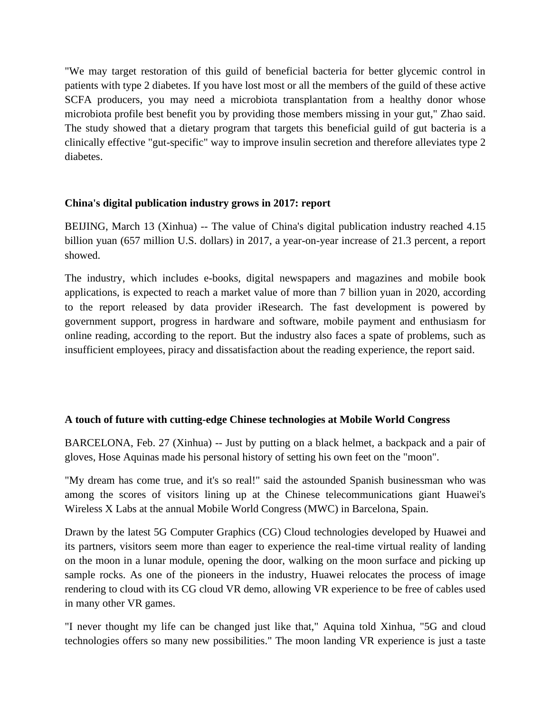"We may target restoration of this guild of beneficial bacteria for better glycemic control in patients with type 2 diabetes. If you have lost most or all the members of the guild of these active SCFA producers, you may need a microbiota transplantation from a healthy donor whose microbiota profile best benefit you by providing those members missing in your gut," Zhao said. The study showed that a dietary program that targets this beneficial guild of gut bacteria is a clinically effective "gut-specific" way to improve insulin secretion and therefore alleviates type 2 diabetes.

## **China's digital publication industry grows in 2017: report**

BEIJING, March 13 (Xinhua) -- The value of China's digital publication industry reached 4.15 billion yuan (657 million U.S. dollars) in 2017, a year-on-year increase of 21.3 percent, a report showed.

The industry, which includes e-books, digital newspapers and magazines and mobile book applications, is expected to reach a market value of more than 7 billion yuan in 2020, according to the report released by data provider iResearch. The fast development is powered by government support, progress in hardware and software, mobile payment and enthusiasm for online reading, according to the report. But the industry also faces a spate of problems, such as insufficient employees, piracy and dissatisfaction about the reading experience, the report said.

## **A touch of future with cutting-edge Chinese technologies at Mobile World Congress**

BARCELONA, Feb. 27 (Xinhua) -- Just by putting on a black helmet, a backpack and a pair of gloves, Hose Aquinas made his personal history of setting his own feet on the "moon".

"My dream has come true, and it's so real!" said the astounded Spanish businessman who was among the scores of visitors lining up at the Chinese telecommunications giant Huawei's Wireless X Labs at the annual Mobile World Congress (MWC) in Barcelona, Spain.

Drawn by the latest 5G Computer Graphics (CG) Cloud technologies developed by Huawei and its partners, visitors seem more than eager to experience the real-time virtual reality of landing on the moon in a lunar module, opening the door, walking on the moon surface and picking up sample rocks. As one of the pioneers in the industry, Huawei relocates the process of image rendering to cloud with its CG cloud VR demo, allowing VR experience to be free of cables used in many other VR games.

"I never thought my life can be changed just like that," Aquina told Xinhua, "5G and cloud technologies offers so many new possibilities." The moon landing VR experience is just a taste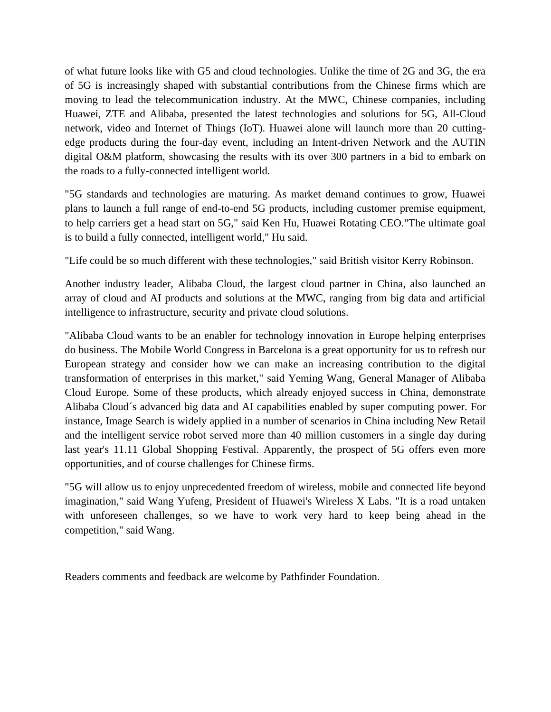of what future looks like with G5 and cloud technologies. Unlike the time of 2G and 3G, the era of 5G is increasingly shaped with substantial contributions from the Chinese firms which are moving to lead the telecommunication industry. At the MWC, Chinese companies, including Huawei, ZTE and Alibaba, presented the latest technologies and solutions for 5G, All-Cloud network, video and Internet of Things (IoT). Huawei alone will launch more than 20 cuttingedge products during the four-day event, including an Intent-driven Network and the AUTIN digital O&M platform, showcasing the results with its over 300 partners in a bid to embark on the roads to a fully-connected intelligent world.

"5G standards and technologies are maturing. As market demand continues to grow, Huawei plans to launch a full range of end-to-end 5G products, including customer premise equipment, to help carriers get a head start on 5G," said Ken Hu, Huawei Rotating CEO."The ultimate goal is to build a fully connected, intelligent world," Hu said.

"Life could be so much different with these technologies," said British visitor Kerry Robinson.

Another industry leader, Alibaba Cloud, the largest cloud partner in China, also launched an array of cloud and AI products and solutions at the MWC, ranging from big data and artificial intelligence to infrastructure, security and private cloud solutions.

"Alibaba Cloud wants to be an enabler for technology innovation in Europe helping enterprises do business. The Mobile World Congress in Barcelona is a great opportunity for us to refresh our European strategy and consider how we can make an increasing contribution to the digital transformation of enterprises in this market," said Yeming Wang, General Manager of Alibaba Cloud Europe. Some of these products, which already enjoyed success in China, demonstrate Alibaba Cloud´s advanced big data and AI capabilities enabled by super co[mputing](http://search.news.cn/language/search.jspa?id=en&t=1&t1=0&ss=&ct=&n1=Putin) power. For instance, Image Search is widely applied in a number of scenarios in China including New Retail and the intelligent service robot served more than 40 million customers in a single day during last year's 11.11 Global Shopping Festival. Apparently, the prospect of 5G offers even more opportunities, and of course challenges for Chinese firms.

"5G will allow us to enjoy unprecedented freedom of wireless, mobile and connected life beyond imagination," said Wang Yufeng, President of Huawei's Wireless X Labs. "It is a road untaken with unforeseen challenges, so we have to work very hard to keep being ahead in the competition," said Wang.

Readers comments and feedback are welcome by Pathfinder Foundation.